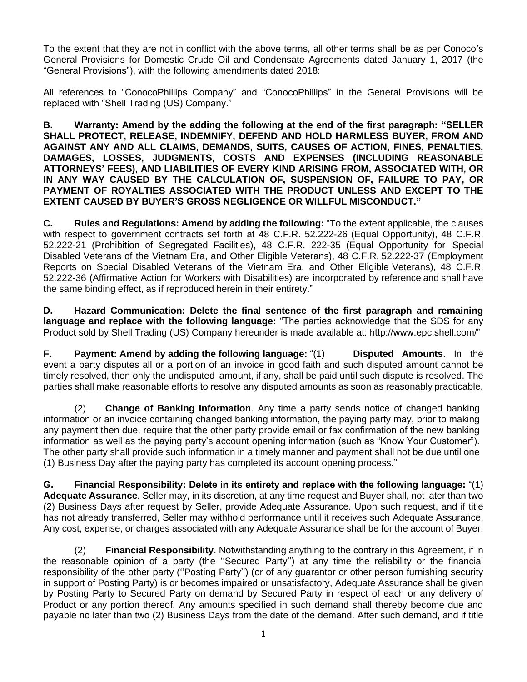To the extent that they are not in conflict with the above terms, all other terms shall be as per Conoco's General Provisions for Domestic Crude Oil and Condensate Agreements dated January 1, 2017 (the "General Provisions"), with the following amendments dated 2018:

All references to "ConocoPhillips Company" and "ConocoPhillips" in the General Provisions will be replaced with "Shell Trading (US) Company."

**B. Warranty: Amend by the adding the following at the end of the first paragraph: "SELLER SHALL PROTECT, RELEASE, INDEMNIFY, DEFEND AND HOLD HARMLESS BUYER, FROM AND AGAINST ANY AND ALL CLAIMS, DEMANDS, SUITS, CAUSES OF ACTION, FINES, PENALTIES, DAMAGES, LOSSES, JUDGMENTS, COSTS AND EXPENSES (INCLUDING REASONABLE ATTORNEYS' FEES), AND LIABILITIES OF EVERY KIND ARISING FROM, ASSOCIATED WITH, OR IN ANY WAY CAUSED BY THE CALCULATION OF, SUSPENSION OF, FAILURE TO PAY, OR PAYMENT OF ROYALTIES ASSOCIATED WITH THE PRODUCT UNLESS AND EXCEPT TO THE EXTENT CAUSED BY BUYER'S GROSS NEGLIGENCE OR WILLFUL MISCONDUCT."**

**C. Rules and Regulations: Amend by adding the following:** "To the extent applicable, the clauses with respect to government contracts set forth at 48 C.F.R. 52.222-26 (Equal Opportunity), 48 C.F.R. 52.222-21 (Prohibition of Segregated Facilities), 48 C.F.R. 222-35 (Equal Opportunity for Special Disabled Veterans of the Vietnam Era, and Other Eligible Veterans), 48 C.F.R. 52.222-37 (Employment Reports on Special Disabled Veterans of the Vietnam Era, and Other Eligible Veterans), 48 C.F.R. 52.222-36 (Affirmative Action for Workers with Disabilities) are incorporated by reference and shall have the same binding effect, as if reproduced herein in their entirety."

**D. Hazard Communication: Delete the final sentence of the first paragraph and remaining language and replace with the following language:** "The parties acknowledge that the SDS for any Product sold by Shell Trading (US) Company hereunder is made available at: http://www.epc.shell.com/"

**F. Payment: Amend by adding the following language:** "(1) **Disputed Amounts**. In the event a party disputes all or a portion of an invoice in good faith and such disputed amount cannot be timely resolved, then only the undisputed amount, if any, shall be paid until such dispute is resolved. The parties shall make reasonable efforts to resolve any disputed amounts as soon as reasonably practicable.

(2) **Change of Banking Information**. Any time a party sends notice of changed banking information or an invoice containing changed banking information, the paying party may, prior to making any payment then due, require that the other party provide email or fax confirmation of the new banking information as well as the paying party's account opening information (such as "Know Your Customer"). The other party shall provide such information in a timely manner and payment shall not be due until one (1) Business Day after the paying party has completed its account opening process."

**G. Financial Responsibility: Delete in its entirety and replace with the following language:** "(1) **Adequate Assurance**. Seller may, in its discretion, at any time request and Buyer shall, not later than two (2) Business Days after request by Seller, provide Adequate Assurance. Upon such request, and if title has not already transferred, Seller may withhold performance until it receives such Adequate Assurance. Any cost, expense, or charges associated with any Adequate Assurance shall be for the account of Buyer.

(2) **Financial Responsibility**. Notwithstanding anything to the contrary in this Agreement, if in the reasonable opinion of a party (the ''Secured Party'') at any time the reliability or the financial responsibility of the other party (''Posting Party'') (or of any guarantor or other person furnishing security in support of Posting Party) is or becomes impaired or unsatisfactory, Adequate Assurance shall be given by Posting Party to Secured Party on demand by Secured Party in respect of each or any delivery of Product or any portion thereof. Any amounts specified in such demand shall thereby become due and payable no later than two (2) Business Days from the date of the demand. After such demand, and if title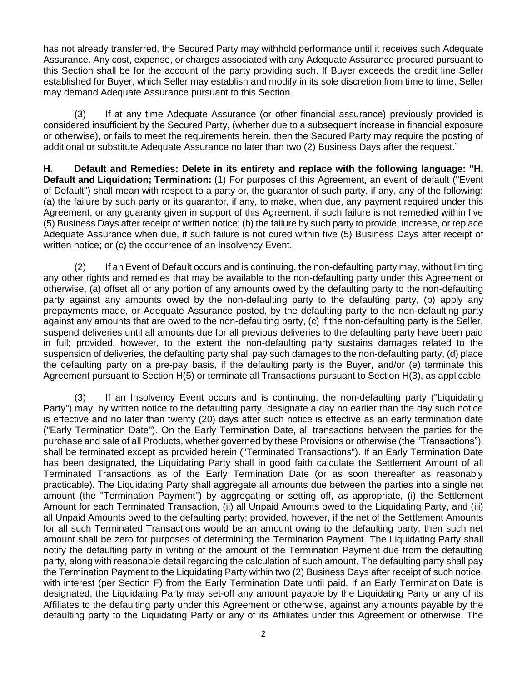has not already transferred, the Secured Party may withhold performance until it receives such Adequate Assurance. Any cost, expense, or charges associated with any Adequate Assurance procured pursuant to this Section shall be for the account of the party providing such. If Buyer exceeds the credit line Seller established for Buyer, which Seller may establish and modify in its sole discretion from time to time, Seller may demand Adequate Assurance pursuant to this Section.

(3) If at any time Adequate Assurance (or other financial assurance) previously provided is considered insufficient by the Secured Party, (whether due to a subsequent increase in financial exposure or otherwise), or fails to meet the requirements herein, then the Secured Party may require the posting of additional or substitute Adequate Assurance no later than two (2) Business Days after the request."

**H. Default and Remedies: Delete in its entirety and replace with the following language: "H. Default and Liquidation; Termination:** (1) For purposes of this Agreement, an event of default ("Event of Default") shall mean with respect to a party or, the guarantor of such party, if any, any of the following: (a) the failure by such party or its guarantor, if any, to make, when due, any payment required under this Agreement, or any guaranty given in support of this Agreement, if such failure is not remedied within five (5) Business Days after receipt of written notice; (b) the failure by such party to provide, increase, or replace Adequate Assurance when due, if such failure is not cured within five (5) Business Days after receipt of written notice; or (c) the occurrence of an Insolvency Event.

(2) If an Event of Default occurs and is continuing, the non-defaulting party may, without limiting any other rights and remedies that may be available to the non-defaulting party under this Agreement or otherwise, (a) offset all or any portion of any amounts owed by the defaulting party to the non-defaulting party against any amounts owed by the non-defaulting party to the defaulting party, (b) apply any prepayments made, or Adequate Assurance posted, by the defaulting party to the non-defaulting party against any amounts that are owed to the non-defaulting party, (c) if the non-defaulting party is the Seller, suspend deliveries until all amounts due for all previous deliveries to the defaulting party have been paid in full; provided, however, to the extent the non-defaulting party sustains damages related to the suspension of deliveries, the defaulting party shall pay such damages to the non-defaulting party, (d) place the defaulting party on a pre-pay basis, if the defaulting party is the Buyer, and/or (e) terminate this Agreement pursuant to Section H(5) or terminate all Transactions pursuant to Section H(3), as applicable.

(3) If an Insolvency Event occurs and is continuing, the non-defaulting party ("Liquidating Party") may, by written notice to the defaulting party, designate a day no earlier than the day such notice is effective and no later than twenty (20) days after such notice is effective as an early termination date ("Early Termination Date"). On the Early Termination Date, all transactions between the parties for the purchase and sale of all Products, whether governed by these Provisions or otherwise (the "Transactions"), shall be terminated except as provided herein ("Terminated Transactions"). If an Early Termination Date has been designated, the Liquidating Party shall in good faith calculate the Settlement Amount of all Terminated Transactions as of the Early Termination Date (or as soon thereafter as reasonably practicable). The Liquidating Party shall aggregate all amounts due between the parties into a single net amount (the "Termination Payment") by aggregating or setting off, as appropriate, (i) the Settlement Amount for each Terminated Transaction, (ii) all Unpaid Amounts owed to the Liquidating Party, and (iii) all Unpaid Amounts owed to the defaulting party; provided, however, if the net of the Settlement Amounts for all such Terminated Transactions would be an amount owing to the defaulting party, then such net amount shall be zero for purposes of determining the Termination Payment. The Liquidating Party shall notify the defaulting party in writing of the amount of the Termination Payment due from the defaulting party, along with reasonable detail regarding the calculation of such amount. The defaulting party shall pay the Termination Payment to the Liquidating Party within two (2) Business Days after receipt of such notice, with interest (per Section F) from the Early Termination Date until paid. If an Early Termination Date is designated, the Liquidating Party may set-off any amount payable by the Liquidating Party or any of its Affiliates to the defaulting party under this Agreement or otherwise, against any amounts payable by the defaulting party to the Liquidating Party or any of its Affiliates under this Agreement or otherwise. The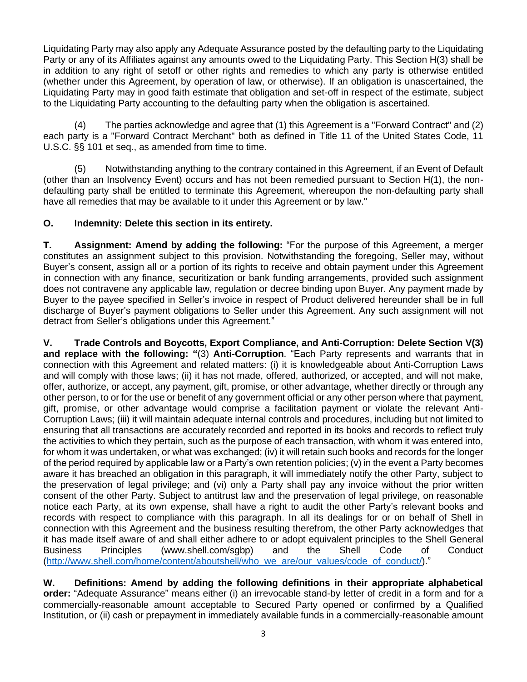Liquidating Party may also apply any Adequate Assurance posted by the defaulting party to the Liquidating Party or any of its Affiliates against any amounts owed to the Liquidating Party. This Section H(3) shall be in addition to any right of setoff or other rights and remedies to which any party is otherwise entitled (whether under this Agreement, by operation of law, or otherwise). If an obligation is unascertained, the Liquidating Party may in good faith estimate that obligation and set-off in respect of the estimate, subject to the Liquidating Party accounting to the defaulting party when the obligation is ascertained.

(4) The parties acknowledge and agree that (1) this Agreement is a "Forward Contract" and (2) each party is a "Forward Contract Merchant" both as defined in Title 11 of the United States Code, 11 U.S.C. §§ 101 et seq., as amended from time to time.

(5) Notwithstanding anything to the contrary contained in this Agreement, if an Event of Default (other than an Insolvency Event) occurs and has not been remedied pursuant to Section H(1), the nondefaulting party shall be entitled to terminate this Agreement, whereupon the non-defaulting party shall have all remedies that may be available to it under this Agreement or by law."

## **O. Indemnity: Delete this section in its entirety.**

**T. Assignment: Amend by adding the following:** "For the purpose of this Agreement, a merger constitutes an assignment subject to this provision. Notwithstanding the foregoing, Seller may, without Buyer's consent, assign all or a portion of its rights to receive and obtain payment under this Agreement in connection with any finance, securitization or bank funding arrangements, provided such assignment does not contravene any applicable law, regulation or decree binding upon Buyer. Any payment made by Buyer to the payee specified in Seller's invoice in respect of Product delivered hereunder shall be in full discharge of Buyer's payment obligations to Seller under this Agreement. Any such assignment will not detract from Seller's obligations under this Agreement."

**V. Trade Controls and Boycotts, Export Compliance, and Anti-Corruption: Delete Section V(3) and replace with the following: "**(3) **Anti-Corruption**. "Each Party represents and warrants that in connection with this Agreement and related matters: (i) it is knowledgeable about Anti-Corruption Laws and will comply with those laws; (ii) it has not made, offered, authorized, or accepted, and will not make, offer, authorize, or accept, any payment, gift, promise, or other advantage, whether directly or through any other person, to or for the use or benefit of any government official or any other person where that payment, gift, promise, or other advantage would comprise a facilitation payment or violate the relevant Anti-Corruption Laws; (iii) it will maintain adequate internal controls and procedures, including but not limited to ensuring that all transactions are accurately recorded and reported in its books and records to reflect truly the activities to which they pertain, such as the purpose of each transaction, with whom it was entered into, for whom it was undertaken, or what was exchanged; (iv) it will retain such books and records for the longer of the period required by applicable law or a Party's own retention policies; (v) in the event a Party becomes aware it has breached an obligation in this paragraph, it will immediately notify the other Party, subject to the preservation of legal privilege; and (vi) only a Party shall pay any invoice without the prior written consent of the other Party. Subject to antitrust law and the preservation of legal privilege, on reasonable notice each Party, at its own expense, shall have a right to audit the other Party's relevant books and records with respect to compliance with this paragraph. In all its dealings for or on behalf of Shell in connection with this Agreement and the business resulting therefrom, the other Party acknowledges that it has made itself aware of and shall either adhere to or adopt equivalent principles to the Shell General Business Principles (www.shell.com/sgbp) and the Shell Code of Conduct [\(http://www.shell.com/home/content/aboutshell/who\\_we\\_are/our\\_values/code\\_of\\_conduct/\)](http://www.shell.com/home/content/aboutshell/who_we_are/our_values/code_of_conduct/)."

**W. Definitions: Amend by adding the following definitions in their appropriate alphabetical order:** "Adequate Assurance" means either (i) an irrevocable stand-by letter of credit in a form and for a commercially-reasonable amount acceptable to Secured Party opened or confirmed by a Qualified Institution, or (ii) cash or prepayment in immediately available funds in a commercially-reasonable amount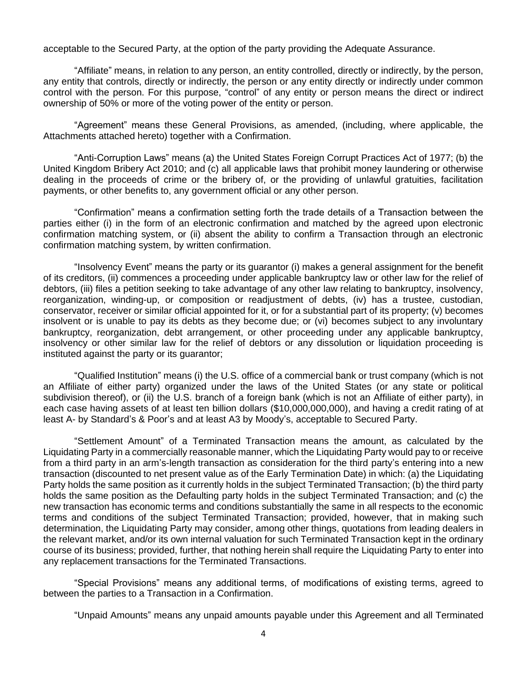acceptable to the Secured Party, at the option of the party providing the Adequate Assurance.

"Affiliate" means, in relation to any person, an entity controlled, directly or indirectly, by the person, any entity that controls, directly or indirectly, the person or any entity directly or indirectly under common control with the person. For this purpose, "control" of any entity or person means the direct or indirect ownership of 50% or more of the voting power of the entity or person.

"Agreement" means these General Provisions, as amended, (including, where applicable, the Attachments attached hereto) together with a Confirmation.

"Anti-Corruption Laws" means (a) the United States Foreign Corrupt Practices Act of 1977; (b) the United Kingdom Bribery Act 2010; and (c) all applicable laws that prohibit money laundering or otherwise dealing in the proceeds of crime or the bribery of, or the providing of unlawful gratuities, facilitation payments, or other benefits to, any government official or any other person.

"Confirmation" means a confirmation setting forth the trade details of a Transaction between the parties either (i) in the form of an electronic confirmation and matched by the agreed upon electronic confirmation matching system, or (ii) absent the ability to confirm a Transaction through an electronic confirmation matching system, by written confirmation.

"Insolvency Event" means the party or its guarantor (i) makes a general assignment for the benefit of its creditors, (ii) commences a proceeding under applicable bankruptcy law or other law for the relief of debtors, (iii) files a petition seeking to take advantage of any other law relating to bankruptcy, insolvency, reorganization, winding-up, or composition or readjustment of debts, (iv) has a trustee, custodian, conservator, receiver or similar official appointed for it, or for a substantial part of its property; (v) becomes insolvent or is unable to pay its debts as they become due; or (vi) becomes subject to any involuntary bankruptcy, reorganization, debt arrangement, or other proceeding under any applicable bankruptcy, insolvency or other similar law for the relief of debtors or any dissolution or liquidation proceeding is instituted against the party or its guarantor;

"Qualified Institution" means (i) the U.S. office of a commercial bank or trust company (which is not an Affiliate of either party) organized under the laws of the United States (or any state or political subdivision thereof), or (ii) the U.S. branch of a foreign bank (which is not an Affiliate of either party), in each case having assets of at least ten billion dollars (\$10,000,000,000), and having a credit rating of at least A- by Standard's & Poor's and at least A3 by Moody's, acceptable to Secured Party.

"Settlement Amount" of a Terminated Transaction means the amount, as calculated by the Liquidating Party in a commercially reasonable manner, which the Liquidating Party would pay to or receive from a third party in an arm's-length transaction as consideration for the third party's entering into a new transaction (discounted to net present value as of the Early Termination Date) in which: (a) the Liquidating Party holds the same position as it currently holds in the subject Terminated Transaction; (b) the third party holds the same position as the Defaulting party holds in the subject Terminated Transaction; and (c) the new transaction has economic terms and conditions substantially the same in all respects to the economic terms and conditions of the subject Terminated Transaction; provided, however, that in making such determination, the Liquidating Party may consider, among other things, quotations from leading dealers in the relevant market, and/or its own internal valuation for such Terminated Transaction kept in the ordinary course of its business; provided, further, that nothing herein shall require the Liquidating Party to enter into any replacement transactions for the Terminated Transactions.

"Special Provisions" means any additional terms, of modifications of existing terms, agreed to between the parties to a Transaction in a Confirmation.

"Unpaid Amounts" means any unpaid amounts payable under this Agreement and all Terminated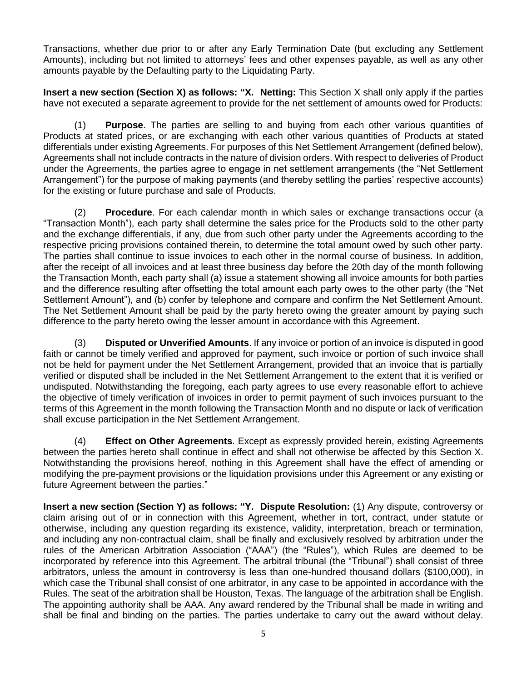Transactions, whether due prior to or after any Early Termination Date (but excluding any Settlement Amounts), including but not limited to attorneys' fees and other expenses payable, as well as any other amounts payable by the Defaulting party to the Liquidating Party.

**Insert a new section (Section X) as follows: "X. Netting:** This Section X shall only apply if the parties have not executed a separate agreement to provide for the net settlement of amounts owed for Products:

(1) **Purpose**. The parties are selling to and buying from each other various quantities of Products at stated prices, or are exchanging with each other various quantities of Products at stated differentials under existing Agreements. For purposes of this Net Settlement Arrangement (defined below), Agreements shall not include contracts in the nature of division orders. With respect to deliveries of Product under the Agreements, the parties agree to engage in net settlement arrangements (the "Net Settlement Arrangement") for the purpose of making payments (and thereby settling the parties' respective accounts) for the existing or future purchase and sale of Products.

(2) **Procedure**. For each calendar month in which sales or exchange transactions occur (a "Transaction Month"), each party shall determine the sales price for the Products sold to the other party and the exchange differentials, if any, due from such other party under the Agreements according to the respective pricing provisions contained therein, to determine the total amount owed by such other party. The parties shall continue to issue invoices to each other in the normal course of business. In addition, after the receipt of all invoices and at least three business day before the 20th day of the month following the Transaction Month, each party shall (a) issue a statement showing all invoice amounts for both parties and the difference resulting after offsetting the total amount each party owes to the other party (the "Net Settlement Amount"), and (b) confer by telephone and compare and confirm the Net Settlement Amount. The Net Settlement Amount shall be paid by the party hereto owing the greater amount by paying such difference to the party hereto owing the lesser amount in accordance with this Agreement.

(3) **Disputed or Unverified Amounts**. If any invoice or portion of an invoice is disputed in good faith or cannot be timely verified and approved for payment, such invoice or portion of such invoice shall not be held for payment under the Net Settlement Arrangement, provided that an invoice that is partially verified or disputed shall be included in the Net Settlement Arrangement to the extent that it is verified or undisputed. Notwithstanding the foregoing, each party agrees to use every reasonable effort to achieve the objective of timely verification of invoices in order to permit payment of such invoices pursuant to the terms of this Agreement in the month following the Transaction Month and no dispute or lack of verification shall excuse participation in the Net Settlement Arrangement.

(4) **Effect on Other Agreements**. Except as expressly provided herein, existing Agreements between the parties hereto shall continue in effect and shall not otherwise be affected by this Section X. Notwithstanding the provisions hereof, nothing in this Agreement shall have the effect of amending or modifying the pre-payment provisions or the liquidation provisions under this Agreement or any existing or future Agreement between the parties."

**Insert a new section (Section Y) as follows: "Y. Dispute Resolution:** (1) Any dispute, controversy or claim arising out of or in connection with this Agreement, whether in tort, contract, under statute or otherwise, including any question regarding its existence, validity, interpretation, breach or termination, and including any non-contractual claim, shall be finally and exclusively resolved by arbitration under the rules of the American Arbitration Association ("AAA") (the "Rules"), which Rules are deemed to be incorporated by reference into this Agreement. The arbitral tribunal (the "Tribunal") shall consist of three arbitrators, unless the amount in controversy is less than one-hundred thousand dollars (\$100,000), in which case the Tribunal shall consist of one arbitrator, in any case to be appointed in accordance with the Rules. The seat of the arbitration shall be Houston, Texas. The language of the arbitration shall be English. The appointing authority shall be AAA. Any award rendered by the Tribunal shall be made in writing and shall be final and binding on the parties. The parties undertake to carry out the award without delay.